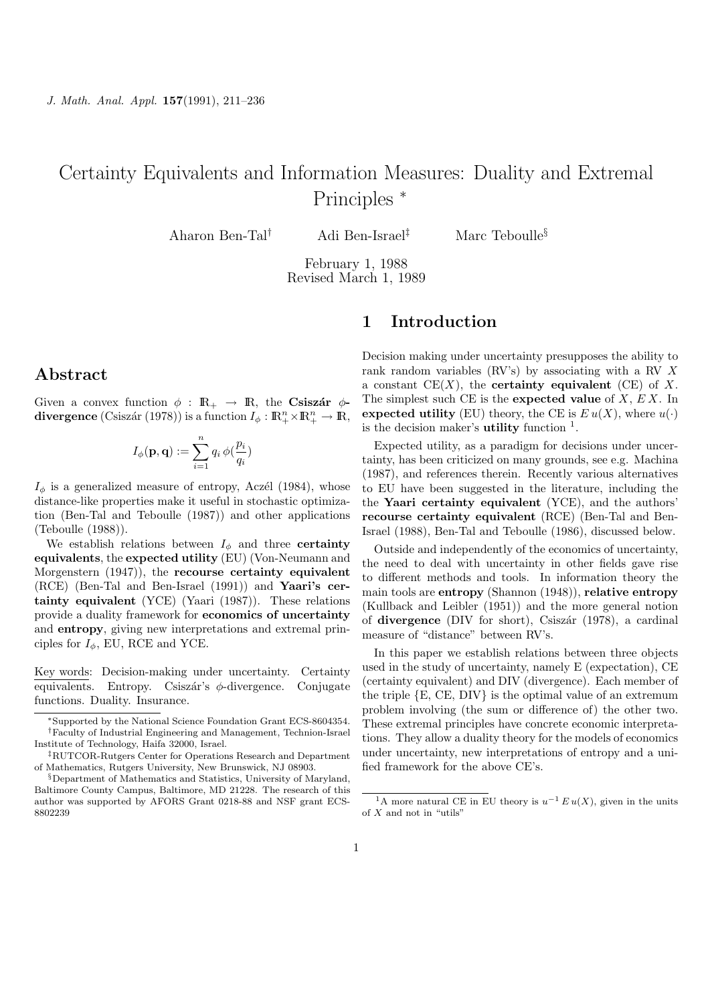# Certainty Equivalents and Information Measures: Duality and Extremal Principles <sup>∗</sup>

Aharon Ben-Tal† Adi Ben-Israel‡ Marc Teboulle§

February 1, 1988 Revised March 1, 1989

# 1 Introduction

### Abstract

Given a convex function  $\phi : \mathbb{R}_+ \to \mathbb{R}$ , the Csiszár  $\phi$ divergence (Csiszár (1978)) is a function  $I_\phi : \mathbb{R}^n_+ \times \mathbb{R}^n_+ \to \mathbb{R}$ ,

$$
I_\phi(\mathbf{p},\mathbf{q}) := \sum_{i=1}^n q_i \, \phi(\frac{p_i}{q_i})
$$

 $I_{\phi}$  is a generalized measure of entropy, Aczél (1984), whose distance-like properties make it useful in stochastic optimization (Ben-Tal and Teboulle (1987)) and other applications (Teboulle (1988)).

We establish relations between  $I_{\phi}$  and three certainty equivalents, the expected utility (EU) (Von-Neumann and Morgenstern (1947)), the recourse certainty equivalent (RCE) (Ben-Tal and Ben-Israel (1991)) and Yaari's certainty equivalent (YCE) (Yaari (1987)). These relations provide a duality framework for economics of uncertainty and entropy, giving new interpretations and extremal principles for  $I_{\phi}$ , EU, RCE and YCE.

Key words: Decision-making under uncertainty. Certainty equivalents. Entropy. Csiszár's  $\phi$ -divergence. Conjugate functions. Duality. Insurance.

‡RUTCOR-Rutgers Center for Operations Research and Department of Mathematics, Rutgers University, New Brunswick, NJ 08903.

Decision making under uncertainty presupposes the ability to rank random variables (RV's) by associating with a RV X a constant  $CE(X)$ , the **certainty equivalent** (CE) of X. The simplest such CE is the expected value of  $X, E X$ . In expected utility (EU) theory, the CE is  $E u(X)$ , where  $u(\cdot)$ is the decision maker's **utility** function  $<sup>1</sup>$ .</sup>

Expected utility, as a paradigm for decisions under uncertainty, has been criticized on many grounds, see e.g. Machina (1987), and references therein. Recently various alternatives to EU have been suggested in the literature, including the the Yaari certainty equivalent (YCE), and the authors' recourse certainty equivalent (RCE) (Ben-Tal and Ben-Israel (1988), Ben-Tal and Teboulle (1986), discussed below.

Outside and independently of the economics of uncertainty, the need to deal with uncertainty in other fields gave rise to different methods and tools. In information theory the main tools are entropy (Shannon (1948)), relative entropy (Kullback and Leibler (1951)) and the more general notion of divergence (DIV for short), Csiszár (1978), a cardinal measure of "distance" between RV's.

In this paper we establish relations between three objects used in the study of uncertainty, namely E (expectation), CE (certainty equivalent) and DIV (divergence). Each member of the triple {E, CE, DIV} is the optimal value of an extremum problem involving (the sum or difference of) the other two. These extremal principles have concrete economic interpretations. They allow a duality theory for the models of economics under uncertainty, new interpretations of entropy and a unified framework for the above CE's.

<sup>∗</sup>Supported by the National Science Foundation Grant ECS-8604354. †Faculty of Industrial Engineering and Management, Technion-Israel Institute of Technology, Haifa 32000, Israel.

<sup>§</sup>Department of Mathematics and Statistics, University of Maryland, Baltimore County Campus, Baltimore, MD 21228. The research of this author was supported by AFORS Grant 0218-88 and NSF grant ECS-8802239

<sup>&</sup>lt;sup>1</sup>A more natural CE in EU theory is  $u^{-1} E u(X)$ , given in the units of  $X$  and not in "utils"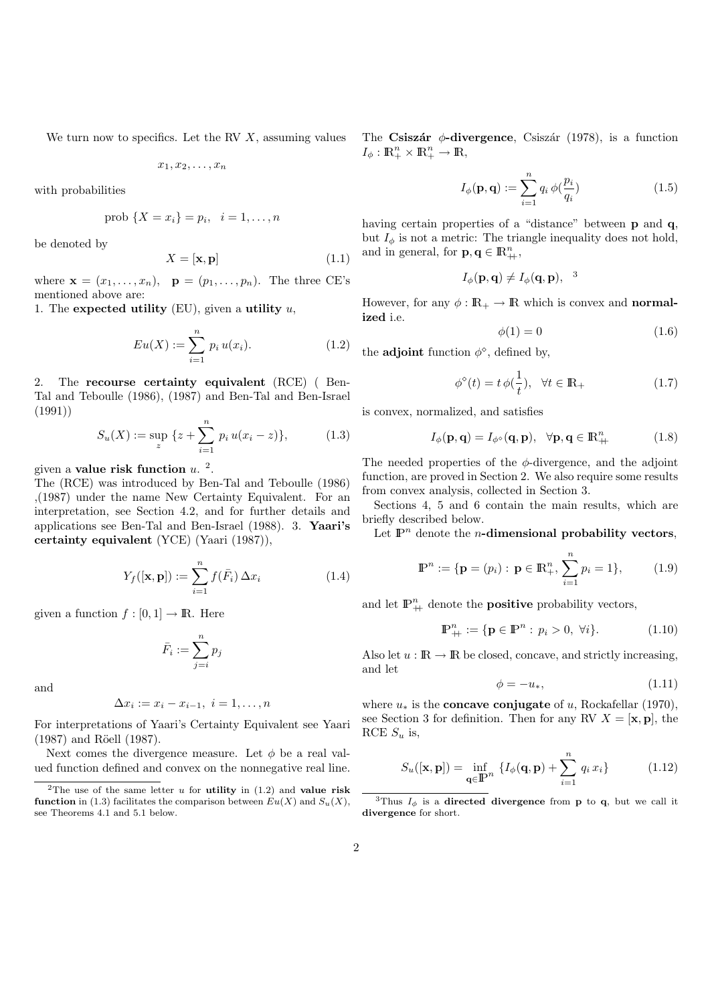We turn now to specifics. Let the RV  $X$ , assuming values

$$
x_1, x_2, \ldots, x_n
$$

with probabilities

prob 
$$
\{X = x_i\} = p_i, \ \ i = 1, ..., n
$$

be denoted by

$$
X = [\mathbf{x}, \mathbf{p}] \tag{1.1}
$$

where  $\mathbf{x} = (x_1, \ldots, x_n)$ ,  $\mathbf{p} = (p_1, \ldots, p_n)$ . The three CE's mentioned above are:

1. The expected utility (EU), given a utility  $u$ ,

$$
Eu(X) := \sum_{i=1}^{n} p_i u(x_i).
$$
 (1.2)

2. The recourse certainty equivalent (RCE) ( Ben-Tal and Teboulle (1986), (1987) and Ben-Tal and Ben-Israel (1991))

$$
S_u(X) := \sup_{z} \{ z + \sum_{i=1}^n p_i u(x_i - z) \}, \tag{1.3}
$$

given a value risk function  $u<sup>2</sup>$ .

The (RCE) was introduced by Ben-Tal and Teboulle (1986) ,(1987) under the name New Certainty Equivalent. For an interpretation, see Section 4.2, and for further details and applications see Ben-Tal and Ben-Israel (1988). 3. Yaari's certainty equivalent (YCE) (Yaari (1987)),

$$
Y_f([\mathbf{x}, \mathbf{p}]) := \sum_{i=1}^n f(\bar{F}_i) \Delta x_i \tag{1.4}
$$

given a function  $f : [0, 1] \to \mathbb{R}$ . Here

$$
\bar{F}_i := \sum_{j=i}^n p_j
$$

and

$$
\Delta x_i := x_i - x_{i-1}, \ i = 1, \dots, n
$$

For interpretations of Yaari's Certainty Equivalent see Yaari  $(1987)$  and Röell  $(1987)$ .

Next comes the divergence measure. Let  $\phi$  be a real valued function defined and convex on the nonnegative real line. The Csiszár  $\phi$ -divergence, Csiszár (1978), is a function  $I_{\phi}: \mathbb{R}_+^n \times \mathbb{R}_+^n \to \mathbb{R},$ 

$$
I_{\phi}(\mathbf{p}, \mathbf{q}) := \sum_{i=1}^{n} q_i \phi(\frac{p_i}{q_i})
$$
\n(1.5)

having certain properties of a "distance" between **p** and **q**, but  $I_{\phi}$  is not a metric: The triangle inequality does not hold, and in general, for  $\mathbf{p}, \mathbf{q} \in \mathbb{R}_{+}^n$ ,

$$
I_{\phi}(\mathbf{p}, \mathbf{q}) \neq I_{\phi}(\mathbf{q}, \mathbf{p}), \quad 3
$$

However, for any  $\phi : \mathbb{R}_+ \to \mathbb{R}$  which is convex and **normal**ized i.e.

$$
\phi(1) = 0 \tag{1.6}
$$

the **adjoint** function  $\phi^{\diamond}$ , defined by,

$$
\phi^{\diamond}(t) = t \, \phi(\frac{1}{t}), \quad \forall t \in \mathbb{R}_+ \tag{1.7}
$$

is convex, normalized, and satisfies

$$
I_{\phi}(\mathbf{p}, \mathbf{q}) = I_{\phi^{\diamond}}(\mathbf{q}, \mathbf{p}), \quad \forall \mathbf{p}, \mathbf{q} \in \mathbb{R}_{+}^{n}
$$
 (1.8)

The needed properties of the  $\phi$ -divergence, and the adjoint function, are proved in Section 2. We also require some results from convex analysis, collected in Section 3.

Sections 4, 5 and 6 contain the main results, which are briefly described below.

Let  $\mathbb{P}^n$  denote the *n*-dimensional probability vectors,

$$
\mathbb{P}^n := \{ \mathbf{p} = (p_i) : \mathbf{p} \in \mathbb{R}_+^n, \sum_{i=1}^n p_i = 1 \},\qquad(1.9)
$$

and let  $\mathbb{P}^n_+$  denote the **positive** probability vectors,

$$
\mathbb{P}_{+}^{n} := \{ \mathbf{p} \in \mathbb{P}^{n} : p_{i} > 0, \ \forall i \}. \tag{1.10}
$$

Also let  $u : \mathbb{R} \to \mathbb{R}$  be closed, concave, and strictly increasing, and let

$$
\phi = -u_*,\tag{1.11}
$$

where  $u_*$  is the **concave conjugate** of u, Rockafellar (1970), see Section 3 for definition. Then for any RV  $X = [\mathbf{x}, \mathbf{p}]$ , the RCE  $S_u$  is,

$$
S_u([\mathbf{x}, \mathbf{p}]) = \inf_{\mathbf{q} \in \mathbb{P}^n} \{ I_{\phi}(\mathbf{q}, \mathbf{p}) + \sum_{i=1}^n q_i x_i \}
$$
(1.12)

<sup>&</sup>lt;sup>2</sup>The use of the same letter u for **utility** in  $(1.2)$  and **value risk** function in (1.3) facilitates the comparison between  $Eu(X)$  and  $S_u(X)$ , see Theorems 4.1 and 5.1 below.

<sup>&</sup>lt;sup>3</sup>Thus  $I_{\phi}$  is a **directed divergence** from **p** to **q**, but we call it divergence for short.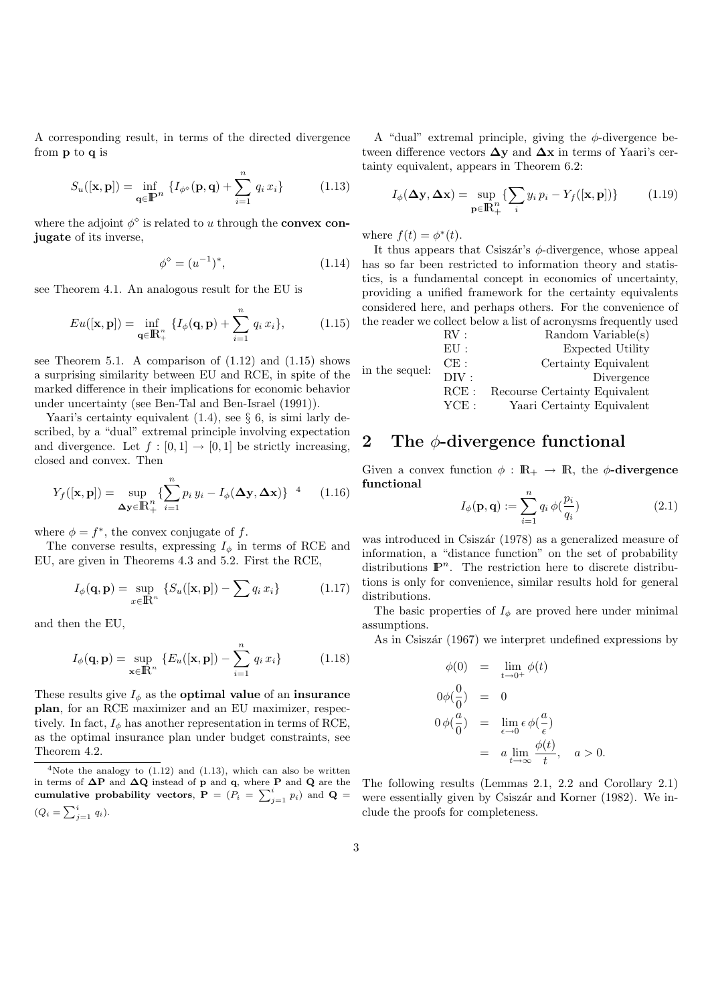A corresponding result, in terms of the directed divergence from p to q is

$$
S_u([\mathbf{x}, \mathbf{p}]) = \inf_{\mathbf{q} \in \mathbb{P}^n} \{ I_{\phi^\diamond}(\mathbf{p}, \mathbf{q}) + \sum_{i=1}^n q_i x_i \} \tag{1.13}
$$

where the adjoint  $\phi^{\diamond}$  is related to u through the **convex con**jugate of its inverse,

$$
\phi^{\diamond} = (u^{-1})^*,\tag{1.14}
$$

see Theorem 4.1. An analogous result for the EU is

$$
Eu([\mathbf{x}, \mathbf{p}]) = \inf_{\mathbf{q} \in \mathbb{R}^n_+} \{ I_{\phi}(\mathbf{q}, \mathbf{p}) + \sum_{i=1}^n q_i x_i \}, \tag{1.15}
$$

see Theorem 5.1. A comparison of  $(1.12)$  and  $(1.15)$  shows a surprising similarity between EU and RCE, in spite of the marked difference in their implications for economic behavior under uncertainty (see Ben-Tal and Ben-Israel (1991)).

Yaari's certainty equivalent  $(1.4)$ , see  $\S$  6, is similarly described, by a "dual" extremal principle involving expectation and divergence. Let  $f : [0,1] \rightarrow [0,1]$  be strictly increasing, closed and convex. Then

$$
Y_f([\mathbf{x}, \mathbf{p}]) = \sup_{\Delta \mathbf{y} \in \mathbb{R}_+^n} \{ \sum_{i=1}^n p_i y_i - I_\phi(\Delta \mathbf{y}, \Delta \mathbf{x}) \}^{-4} \qquad (1.16)
$$

where  $\phi = f^*$ , the convex conjugate of f.

The converse results, expressing  $I_{\phi}$  in terms of RCE and EU, are given in Theorems 4.3 and 5.2. First the RCE,

$$
I_{\phi}(\mathbf{q}, \mathbf{p}) = \sup_{x \in \mathbb{R}^n} \left\{ S_u([\mathbf{x}, \mathbf{p}]) - \sum q_i x_i \right\} \tag{1.17}
$$

and then the EU,

$$
I_{\phi}(\mathbf{q}, \mathbf{p}) = \sup_{\mathbf{x} \in \mathbb{R}^n} \{ E_u([\mathbf{x}, \mathbf{p}]) - \sum_{i=1}^n q_i x_i \}
$$
(1.18)

These results give  $I_{\phi}$  as the **optimal value** of an **insurance** plan, for an RCE maximizer and an EU maximizer, respectively. In fact,  $I_{\phi}$  has another representation in terms of RCE, as the optimal insurance plan under budget constraints, see Theorem 4.2.

A "dual" extremal principle, giving the  $\phi$ -divergence between difference vectors  $\Delta y$  and  $\Delta x$  in terms of Yaari's certainty equivalent, appears in Theorem 6.2:

$$
I_{\phi}(\Delta \mathbf{y}, \Delta \mathbf{x}) = \sup_{\mathbf{p} \in \mathbb{R}_+^n} \{ \sum_i y_i p_i - Y_f([\mathbf{x}, \mathbf{p}]) \} \tag{1.19}
$$

where  $f(t) = \phi^*(t)$ .

It thus appears that Csiszár's  $\phi$ -divergence, whose appeal has so far been restricted to information theory and statistics, is a fundamental concept in economics of uncertainty, providing a unified framework for the certainty equivalents considered here, and perhaps others. For the convenience of the reader we collect below a list of acronysms frequently used

| in the sequel: | $\rm RV:$ | Random Variable(s)            |
|----------------|-----------|-------------------------------|
|                | EII:      | Expected Utility              |
|                | CE:       | Certainty Equivalent          |
|                | DIV:      | Divergence                    |
|                | RCE:      | Recourse Certainty Equivalent |
|                | YCE:      | Yaari Certainty Equivalent    |

## 2 The  $\phi$ -divergence functional

Given a convex function  $\phi : \mathbb{R}_+ \to \mathbb{R}$ , the  $\phi$ -divergence functional

$$
I_{\phi}(\mathbf{p}, \mathbf{q}) := \sum_{i=1}^{n} q_i \phi(\frac{p_i}{q_i})
$$
\n(2.1)

was introduced in Csiszár (1978) as a generalized measure of information, a "distance function" on the set of probability distributions  $\mathbb{P}^n$ . The restriction here to discrete distributions is only for convenience, similar results hold for general distributions.

The basic properties of  $I_{\phi}$  are proved here under minimal assumptions.

As in Csiszár (1967) we interpret undefined expressions by

$$
\begin{aligned}\n\phi(0) &= \lim_{t \to 0^+} \phi(t) \\
0\phi(\frac{0}{0}) &= 0 \\
0\phi(\frac{a}{0}) &= \lim_{\epsilon \to 0} \epsilon \phi(\frac{a}{\epsilon}) \\
&= a \lim_{t \to \infty} \frac{\phi(t)}{t}, \quad a > 0.\n\end{aligned}
$$

The following results (Lemmas 2.1, 2.2 and Corollary 2.1) were essentially given by Csiszár and Korner (1982). We include the proofs for completeness.

 $4$ Note the analogy to  $(1.12)$  and  $(1.13)$ , which can also be written in terms of  $\Delta P$  and  $\Delta Q$  instead of p and q, where P and Q are the cumulative probability vectors,  $P = (P_i = \sum_{j=1}^{i} p_i)$  and  $Q =$  $(Q_i = \sum_{j=1}^i q_i).$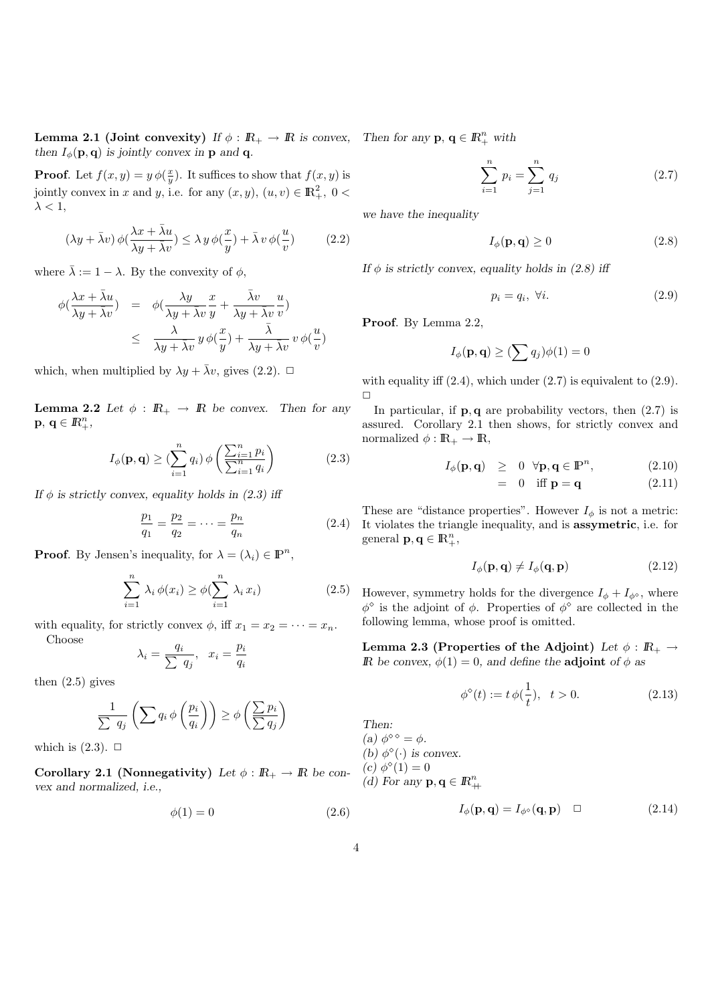**Lemma 2.1 (Joint convexity)** If  $\phi : \mathbb{R}_+ \to \mathbb{R}$  is convex, Then for any  $p, q \in \mathbb{R}_+^n$  with then  $I_{\phi}(\mathbf{p}, \mathbf{q})$  is jointly convex in **p** and **q**.

**Proof.** Let  $f(x, y) = y \phi(\frac{x}{y})$ . It suffices to show that  $f(x, y)$  is jointly convex in x and y, i.e. for any  $(x, y)$ ,  $(u, v) \in \mathbb{R}^2_+$ ,  $0 <$  $\lambda < 1$ ,

$$
(\lambda y + \bar{\lambda}v) \phi(\frac{\lambda x + \bar{\lambda}u}{\lambda y + \bar{\lambda}v}) \le \lambda y \phi(\frac{x}{y}) + \bar{\lambda}v \phi(\frac{u}{v})
$$
 (2.2)

where  $\bar{\lambda} := 1 - \lambda$ . By the convexity of  $\phi$ ,

$$
\begin{array}{rcl}\n\phi(\frac{\lambda x+\bar{\lambda}u}{\lambda y+\bar{\lambda}v}) & = & \phi(\frac{\lambda y}{\lambda y+\bar{\lambda}v}\frac{x}{y}+\frac{\bar{\lambda}v}{\lambda y+\bar{\lambda}v}\frac{u}{v}) \\
& \leq & \frac{\lambda}{\lambda y+\bar{\lambda}v}\,y\,\phi(\frac{x}{y})+\frac{\bar{\lambda}}{\lambda y+\bar{\lambda}v}\,v\,\phi(\frac{u}{v})\n\end{array}
$$

which, when multiplied by  $\lambda y + \bar{\lambda}v$ , gives (2.2).  $\Box$ 

**Lemma 2.2** Let  $\phi$  :  $\mathbb{R}_+ \to \mathbb{R}$  be convex. Then for any  $\mathbf{p},\,\mathbf{q}\in\mathbb{R}_+^n,$ 

$$
I_{\phi}(\mathbf{p}, \mathbf{q}) \ge \left(\sum_{i=1}^{n} q_i\right) \phi\left(\frac{\sum_{i=1}^{n} p_i}{\sum_{i=1}^{n} q_i}\right) \tag{2.3}
$$

If  $\phi$  is strictly convex, equality holds in (2.3) iff

$$
\frac{p_1}{q_1} = \frac{p_2}{q_2} = \dots = \frac{p_n}{q_n} \tag{2.4}
$$

**Proof.** By Jensen's inequality, for  $\lambda = (\lambda_i) \in \mathbb{P}^n$ ,

$$
\sum_{i=1}^{n} \lambda_i \phi(x_i) \ge \phi(\sum_{i=1}^{n} \lambda_i x_i)
$$
\n(2.5)

with equality, for strictly convex  $\phi$ , iff  $x_1 = x_2 = \cdots = x_n$ . Choose

$$
\lambda_i = \frac{q_i}{\sum q_j}, \quad x_i = \frac{p_i}{q_i}
$$

then  $(2.5)$  gives

$$
\frac{1}{\sum q_j} \left( \sum q_i \, \phi \left( \frac{p_i}{q_i} \right) \right) \ge \phi \left( \frac{\sum p_i}{\sum q_j} \right)
$$

which is  $(2.3)$ .  $\Box$ 

Corollary 2.1 (Nonnegativity) Let  $\phi : \mathbb{R}_+ \to \mathbb{R}$  be convex and normalized, i.e.,

$$
\phi(1) = 0 \tag{2.6}
$$

$$
\sum_{i=1}^{n} p_i = \sum_{j=1}^{n} q_j
$$
 (2.7)

we have the inequality

$$
I_{\phi}(\mathbf{p}, \mathbf{q}) \ge 0 \tag{2.8}
$$

If  $\phi$  is strictly convex, equality holds in (2.8) iff

$$
p_i = q_i, \ \forall i. \tag{2.9}
$$

Proof. By Lemma 2.2,

$$
I_{\phi}(\mathbf{p}, \mathbf{q}) \geq (\sum q_j) \phi(1) = 0
$$

with equality iff  $(2.4)$ , which under  $(2.7)$  is equivalent to  $(2.9)$ .  $\Box$ 

In particular, if  $\mathbf{p}, \mathbf{q}$  are probability vectors, then  $(2.7)$  is assured. Corollary 2.1 then shows, for strictly convex and normalized  $\phi : \mathbb{R}_+ \to \mathbb{R}$ ,

$$
I_{\phi}(\mathbf{p}, \mathbf{q}) \geq 0 \quad \forall \mathbf{p}, \mathbf{q} \in \mathbb{P}^n, \tag{2.10}
$$

$$
= 0 \quad \text{iff } \mathbf{p} = \mathbf{q} \tag{2.11}
$$

These are "distance properties". However  $I_{\phi}$  is not a metric: It violates the triangle inequality, and is assymetric, i.e. for general  $\mathbf{p}, \mathbf{q} \in \mathbb{R}_+^n$ ,

$$
I_{\phi}(\mathbf{p}, \mathbf{q}) \neq I_{\phi}(\mathbf{q}, \mathbf{p}) \tag{2.12}
$$

However, symmetry holds for the divergence  $I_{\phi} + I_{\phi^{\diamond}}$ , where  $\phi^{\diamond}$  is the adjoint of  $\phi$ . Properties of  $\phi^{\diamond}$  are collected in the following lemma, whose proof is omitted.

Lemma 2.3 (Properties of the Adjoint) Let  $\phi : \mathbb{R}_+ \to$ **IR** be convex,  $\phi(1) = 0$ , and define the **adjoint** of  $\phi$  as

$$
\phi^{\diamond}(t) := t \, \phi(\frac{1}{t}), \quad t > 0. \tag{2.13}
$$

Then:

(a)  $\phi^{\diamond \diamond} = \phi$ . (b)  $\phi^{\diamond}(\cdot)$  is convex. (c)  $\phi^{\diamond}(1) = 0$ (d) For any  $\mathbf{p}, \mathbf{q} \in \mathbb{R}^n_+$ 

$$
I_{\phi}(\mathbf{p}, \mathbf{q}) = I_{\phi^{\diamond}}(\mathbf{q}, \mathbf{p}) \quad \Box \tag{2.14}
$$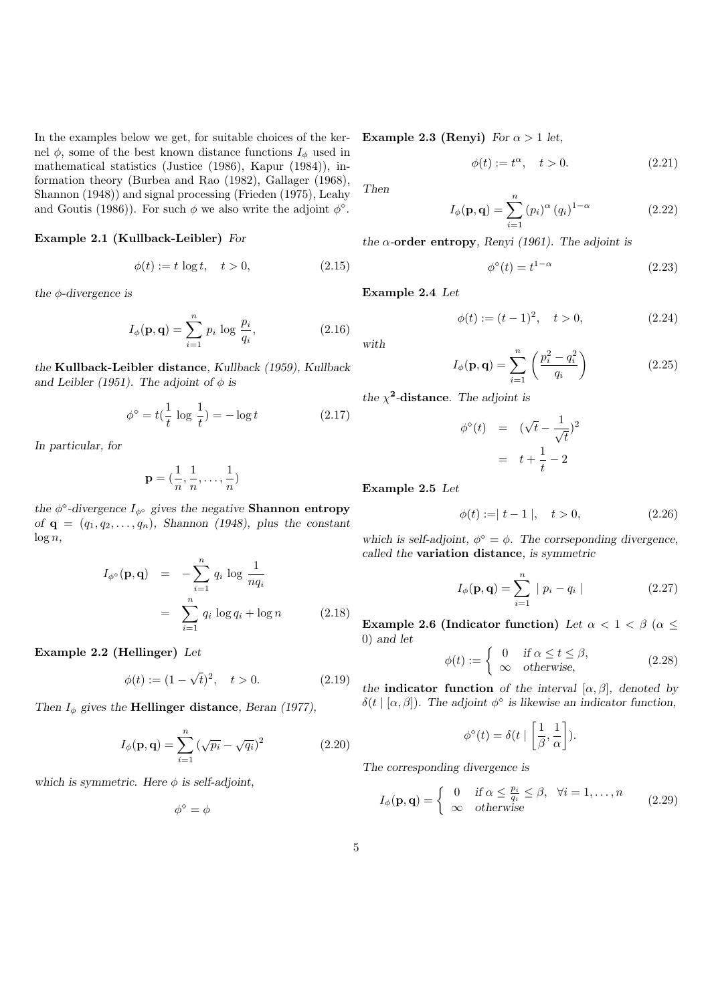In the examples below we get, for suitable choices of the kernel  $\phi$ , some of the best known distance functions  $I_{\phi}$  used in mathematical statistics (Justice (1986), Kapur (1984)), information theory (Burbea and Rao (1982), Gallager (1968), Shannon (1948)) and signal processing (Frieden (1975), Leahy and Goutis (1986)). For such  $\phi$  we also write the adjoint  $\phi^{\diamond}$ .

#### Example 2.1 (Kullback-Leibler) For

$$
\phi(t) := t \log t, \quad t > 0,\tag{2.15}
$$

the  $\phi$ -divergence is

$$
I_{\phi}(\mathbf{p}, \mathbf{q}) = \sum_{i=1}^{n} p_i \log \frac{p_i}{q_i},
$$
 (2.16)

the Kullback-Leibler distance, Kullback (1959), Kullback and Leibler (1951). The adjoint of  $\phi$  is

$$
\phi^{\diamond} = t\left(\frac{1}{t}\log\frac{1}{t}\right) = -\log t\tag{2.17}
$$

In particular, for

$$
\mathbf{p} = (\frac{1}{n}, \frac{1}{n}, \dots, \frac{1}{n})
$$

the  $\phi^{\circ}$ -divergence  $I_{\phi^{\circ}}$  gives the negative **Shannon** entropy of  $\mathbf{q} = (q_1, q_2, \dots, q_n)$ , Shannon (1948), plus the constant  $\log n$ ,

$$
I_{\phi^{\diamond}}(\mathbf{p}, \mathbf{q}) = -\sum_{i=1}^{n} q_i \log \frac{1}{nq_i}
$$
  
= 
$$
\sum_{i=1}^{n} q_i \log q_i + \log n
$$
 (2.18)

Example 2.2 (Hellinger) Let

$$
\phi(t) := (1 - \sqrt{t})^2, \quad t > 0.
$$
 (2.19)

Then  $I_{\phi}$  gives the **Hellinger distance**, Beran (1977),

$$
I_{\phi}(\mathbf{p}, \mathbf{q}) = \sum_{i=1}^{n} (\sqrt{p_i} - \sqrt{q_i})^2
$$
 (2.20)

which is symmetric. Here  $\phi$  is self-adjoint,

$$
\phi^\diamond = \phi
$$

Example 2.3 (Renyi) For  $\alpha > 1$  let,

$$
\phi(t) := t^{\alpha}, \quad t > 0. \tag{2.21}
$$

Then

with

$$
I_{\phi}(\mathbf{p}, \mathbf{q}) = \sum_{i=1}^{n} (p_i)^{\alpha} (q_i)^{1-\alpha} \qquad (2.22)
$$

the  $\alpha$ -order entropy, Renyi (1961). The adjoint is

$$
\phi^{\diamond}(t) = t^{1-\alpha} \tag{2.23}
$$

Example 2.4 Let

$$
\phi(t) := (t - 1)^2, \quad t > 0,
$$
\n(2.24)

$$
I_{\phi}(\mathbf{p}, \mathbf{q}) = \sum_{i=1}^{n} \left( \frac{p_i^2 - q_i^2}{q_i} \right)
$$
 (2.25)

the  $\chi^2$ -distance. The adjoint is

$$
\begin{array}{rcl} \phi^{\diamond}(t) & = & (\sqrt{t} - \frac{1}{\sqrt{t}})^2 \\ & = & t + \frac{1}{t} - 2 \end{array}
$$

Example 2.5 Let

$$
\phi(t) := |t - 1|, \quad t > 0,\tag{2.26}
$$

which is self-adjoint,  $\phi^{\diamond} = \phi$ . The corrseponding divergence, called the variation distance, is symmetric

$$
I_{\phi}(\mathbf{p}, \mathbf{q}) = \sum_{i=1}^{n} |p_i - q_i|
$$
 (2.27)

Example 2.6 (Indicator function) Let  $\alpha < 1 < \beta$  ( $\alpha \le$ 0) and let

$$
\phi(t) := \begin{cases} 0 & \text{if } \alpha \le t \le \beta, \\ \infty & \text{otherwise,} \end{cases}
$$
 (2.28)

the **indicator function** of the interval  $[\alpha, \beta]$ , denoted by  $\delta(t | [\alpha, \beta])$ . The adjoint  $\phi^{\diamond}$  is likewise an indicator function,

$$
\phi^{\diamond}(t) = \delta(t \mid \left[\frac{1}{\beta}, \frac{1}{\alpha}\right]).
$$

The corresponding divergence is

$$
I_{\phi}(\mathbf{p}, \mathbf{q}) = \begin{cases} 0 & \text{if } \alpha \le \frac{p_i}{q_i} \le \beta, \quad \forall i = 1, \dots, n \\ \infty & \text{otherwise} \end{cases}
$$
 (2.29)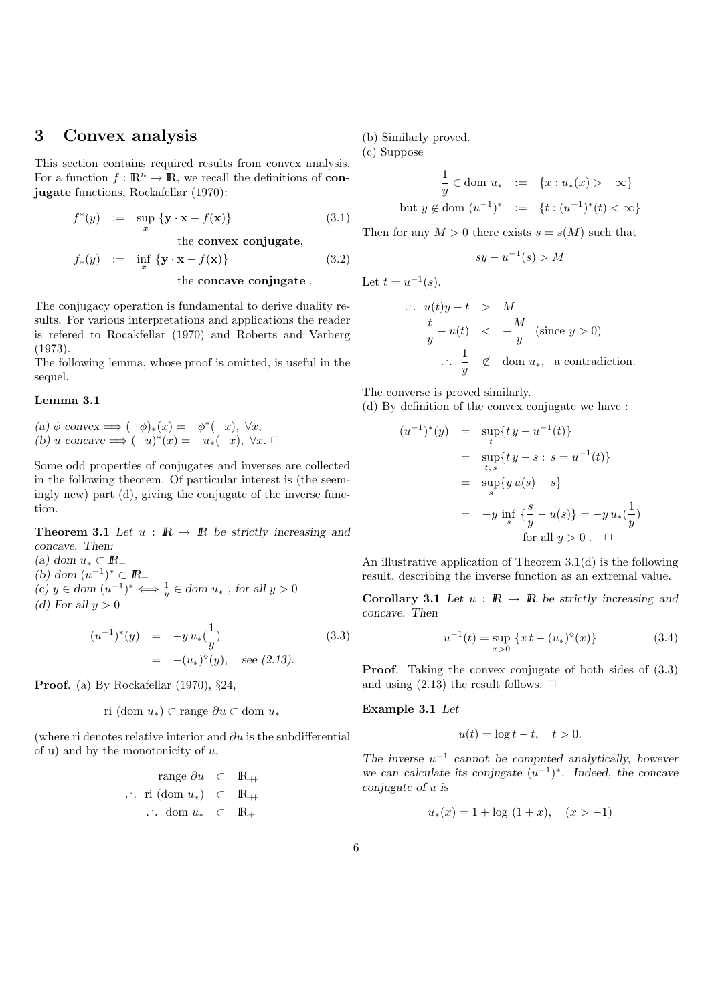# 3 Convex analysis

This section contains required results from convex analysis. For a function  $f : \mathbb{R}^n \to \mathbb{R}$ , we recall the definitions of **con**jugate functions, Rockafellar (1970):

$$
f^*(y) := \sup_x \{ \mathbf{y} \cdot \mathbf{x} - f(\mathbf{x}) \}
$$
 (3.1)

the convex conjugate,

$$
f_*(y) := \inf_x \{ \mathbf{y} \cdot \mathbf{x} - f(\mathbf{x}) \}
$$
(3.2)

the concave conjugate .

The conjugacy operation is fundamental to derive duality results. For various interpretations and applications the reader is refered to Rocakfellar (1970) and Roberts and Varberg (1973).

The following lemma, whose proof is omitted, is useful in the sequel.

#### Lemma 3.1

(a)  $\phi$  convex  $\Longrightarrow (-\phi)_*(x) = -\phi^*(-x), \ \forall x,$ (b) u concave  $\Longrightarrow (-u)^*(x) = -u_*(-x), \ \forall x. \ \Box$ 

Some odd properties of conjugates and inverses are collected in the following theorem. Of particular interest is (the seemingly new) part (d), giving the conjugate of the inverse function.

**Theorem 3.1** Let  $u : \mathbb{R} \to \mathbb{R}$  be strictly increasing and concave. Then:

(a) dom  $u_* \subset \mathbb{R}_+$ (b) dom  $(u^{-1})^* \subset \mathbb{R}_+$ (c)  $y \in \text{dom}(u^{-1})^* \Longleftrightarrow \frac{1}{y} \in \text{dom} u_*$ , for all  $y > 0$ (d) For all  $y > 0$ 

$$
(u^{-1})^*(y) = -y u_*(\frac{1}{y})
$$
  
= -(u\_\*)°(y), see (2.13). (3.3)

Proof. (a) By Rockafellar (1970),  $\S 24$ ,

ri (dom 
$$
u_*
$$
)  $\subset$ range  $\partial u \subset$  dom  $u_*$ 

(where ri denotes relative interior and  $\partial u$  is the subdifferential of u) and by the monotonicity of  $u$ ,

$$
\begin{array}{rcl}\n\text{range } \partial u & \subset & \mathbb{R}_+ \\
\cdots \text{ ri } (\text{dom } u_*) & \subset & \mathbb{R}_+ \\
\cdots \text{ dom } u_* & \subset & \mathbb{R}_+\n\end{array}
$$

(b) Similarly proved.

(c) Suppose

$$
\frac{1}{y} \in \text{dom } u_* \quad := \quad \{x : u_*(x) > -\infty\}
$$
\n
$$
\text{but } y \notin \text{dom } (u^{-1})^* \quad := \quad \{t : (u^{-1})^*(t) < \infty\}
$$

Then for any  $M > 0$  there exists  $s = s(M)$  such that

$$
sy - u^{-1}(s) > M
$$

Let  $t = u^{-1}(s)$ .

. .

$$
u(t)y - t > M
$$
  
\n
$$
\frac{t}{y} - u(t) < -\frac{M}{y}
$$
 (since  $y > 0$ )  
\n
$$
\therefore \frac{1}{y} \notin \text{dom } u_*, \text{ a contradiction.}
$$

The converse is proved similarly.

(d) By definition of the convex conjugate we have :

$$
(u^{-1})^{*}(y) = \sup_{t} \{ ty - u^{-1}(t) \}
$$
  
=  $\sup_{t,s} \{ ty - s : s = u^{-1}(t) \}$   
=  $\sup_{s} \{ y u(s) - s \}$   
=  $-y \inf_{s} \{ \frac{s}{y} - u(s) \} = -y u_{*}(\frac{1}{y})$   
for all  $y > 0$ .  $\Box$ 

An illustrative application of Theorem 3.1(d) is the following result, describing the inverse function as an extremal value.

Corollary 3.1 Let  $u : \mathbb{R} \to \mathbb{R}$  be strictly increasing and concave. Then

$$
u^{-1}(t) = \sup_{x>0} \{x t - (u_*)^{\diamond}(x)\}\tag{3.4}
$$

Proof. Taking the convex conjugate of both sides of  $(3.3)$ and using  $(2.13)$  the result follows.  $\Box$ 

Example 3.1 Let

$$
u(t) = \log t - t, \quad t > 0.
$$

The inverse  $u^{-1}$  cannot be computed analytically, however we can calculate its conjugate  $(u^{-1})^*$ . Indeed, the concave conjugate of u is

$$
u_*(x) = 1 + \log(1+x), \quad (x > -1)
$$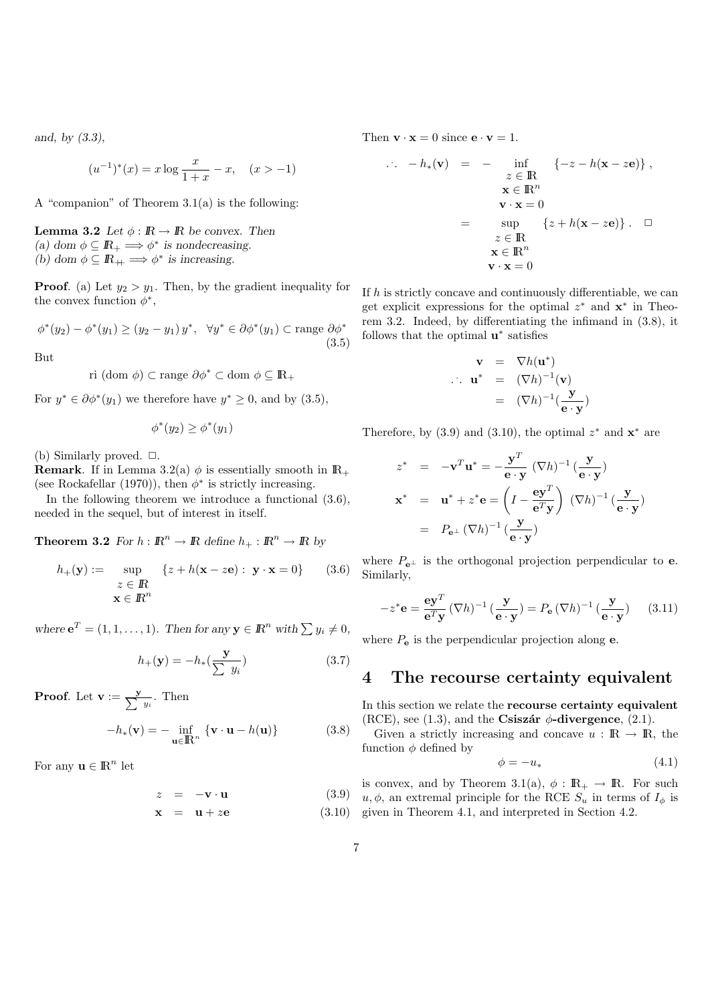and, by (3.3),

$$
(u^{-1})^*(x) = x \log \frac{x}{1+x} - x, \quad (x > -1)
$$

A "companion" of Theorem 3.1(a) is the following:

**Lemma 3.2** Let  $\phi : \mathbb{R} \to \mathbb{R}$  be convex. Then (a) dom  $\phi \subseteq \mathbb{R}_+ \Longrightarrow \phi^*$  is nondecreasing. (b) dom  $\phi \subseteq \mathbb{R}_+ \Longrightarrow \phi^*$  is increasing.

**Proof.** (a) Let  $y_2 > y_1$ . Then, by the gradient inequality for the convex function  $\phi^*$ ,

$$
\phi^*(y_2) - \phi^*(y_1) \ge (y_2 - y_1) y^*, \quad \forall y^* \in \partial \phi^*(y_1) \subset \text{range } \partial \phi^* \tag{3.5}
$$

But

ri (
$$
\text{dom } \phi
$$
)  $\subset$ range  $\partial \phi^* \subset \text{dom } \phi \subseteq \mathbb{R}_+$ 

For  $y^* \in \partial \phi^*(y_1)$  we therefore have  $y^* \geq 0$ , and by  $(3.5)$ ,

$$
\phi^*(y_2) \ge \phi^*(y_1)
$$

(b) Similarly proved.  $\Box$ .

**Remark.** If in Lemma 3.2(a)  $\phi$  is essentially smooth in  $\mathbb{R}_+$ (see Rockafellar (1970)), then  $\phi^*$  is strictly increasing.

In the following theorem we introduce a functional (3.6), needed in the sequel, but of interest in itself.

**Theorem 3.2** For  $h : \mathbb{R}^n \to \mathbb{R}$  define  $h_+ : \mathbb{R}^n \to \mathbb{R}$  by

$$
h_{+}(\mathbf{y}) := \sup_{\substack{z \in \mathbb{R} \\ \mathbf{x} \in \mathbb{R}^n}} \{z + h(\mathbf{x} - z\mathbf{e}) : \mathbf{y} \cdot \mathbf{x} = 0\} \qquad (3.6)
$$

where  $\mathbf{e}^T = (1, 1, \dots, 1)$ . Then for any  $\mathbf{y} \in \mathbb{R}^n$  with  $\sum y_i \neq 0$ ,

$$
h_{+}(\mathbf{y}) = -h_{*}(\frac{\mathbf{y}}{\sum y_{i}})
$$
\n(3.7)

**Proof.** Let  $\mathbf{v} := \frac{\mathbf{y}}{\sum y_i}$ . Then

$$
-h_*(\mathbf{v}) = -\inf_{\mathbf{u} \in \mathbb{R}^n} \{ \mathbf{v} \cdot \mathbf{u} - h(\mathbf{u}) \}
$$
(3.8)

For any  $\mathbf{u} \in \mathbb{R}^n$  let

$$
z = -\mathbf{v} \cdot \mathbf{u} \tag{3.9}
$$

$$
\mathbf{x} = \mathbf{u} + z\mathbf{e} \tag{3.10}
$$

Then  $\mathbf{v} \cdot \mathbf{x} = 0$  since  $\mathbf{e} \cdot \mathbf{v} = 1$ .

.

.

$$
-h_*(\mathbf{v}) = - \inf_{z \in \mathbb{R}} \{ -z - h(\mathbf{x} - z\mathbf{e}) \},
$$
  
\n
$$
\mathbf{x} \in \mathbb{R}^n
$$
  
\n
$$
\mathbf{v} \cdot \mathbf{x} = 0
$$
  
\n
$$
z \in \mathbb{R}
$$
  
\n
$$
\mathbf{x} \in \mathbb{R}^n
$$
  
\n
$$
\mathbf{v} \cdot \mathbf{x} = 0
$$
  
\n
$$
(\mathbf{z} + h(\mathbf{x} - z\mathbf{e})) \quad \Box
$$

If  $h$  is strictly concave and continuously differentiable, we can get explicit expressions for the optimal  $z^*$  and  $x^*$  in Theorem 3.2. Indeed, by differentiating the infimand in (3.8), it follows that the optimal  $\mathbf{u}^*$  satisfies

$$
\mathbf{v} = \nabla h(\mathbf{u}^*)
$$
  
\n
$$
\mathbf{u}^* = (\nabla h)^{-1}(\mathbf{v})
$$
  
\n
$$
= (\nabla h)^{-1}(\frac{\mathbf{y}}{\mathbf{e} \cdot \mathbf{y}})
$$

Therefore, by  $(3.9)$  and  $(3.10)$ , the optimal  $z^*$  and  $\mathbf{x}^*$  are

$$
z^* = -\mathbf{v}^T \mathbf{u}^* = -\frac{\mathbf{y}^T}{\mathbf{e} \cdot \mathbf{y}} (\nabla h)^{-1} (\frac{\mathbf{y}}{\mathbf{e} \cdot \mathbf{y}})
$$
  

$$
\mathbf{x}^* = \mathbf{u}^* + z^* \mathbf{e} = \left(I - \frac{\mathbf{e} \mathbf{y}^T}{\mathbf{e}^T \mathbf{y}}\right) (\nabla h)^{-1} (\frac{\mathbf{y}}{\mathbf{e} \cdot \mathbf{y}})
$$
  

$$
= P_{\mathbf{e}^\perp} (\nabla h)^{-1} (\frac{\mathbf{y}}{\mathbf{e} \cdot \mathbf{y}})
$$

where  $P_{e^{\perp}}$  is the orthogonal projection perpendicular to **e**. Similarly,

$$
-z^* \mathbf{e} = \frac{\mathbf{e} \mathbf{y}^T}{\mathbf{e}^T \mathbf{y}} (\nabla h)^{-1} \left(\frac{\mathbf{y}}{\mathbf{e} \cdot \mathbf{y}}\right) = P_\mathbf{e} (\nabla h)^{-1} \left(\frac{\mathbf{y}}{\mathbf{e} \cdot \mathbf{y}}\right) \tag{3.11}
$$

where  $P_{\rm e}$  is the perpendicular projection along  ${\rm e}$ .

# 4 The recourse certainty equivalent

In this section we relate the recourse certainty equivalent (RCE), see (1.3), and the Csiszár  $\phi$ -divergence, (2.1).

Given a strictly increasing and concave  $u : \mathbb{R} \to \mathbb{R}$ , the function  $\phi$  defined by

$$
\phi = -u_*\tag{4.1}
$$

is convex, and by Theorem 3.1(a),  $\phi : \mathbb{R}_+ \to \mathbb{R}$ . For such  $(u, \phi)$ , an extremal principle for the RCE  $S_u$  in terms of  $I_\phi$  is given in Theorem 4.1, and interpreted in Section 4.2.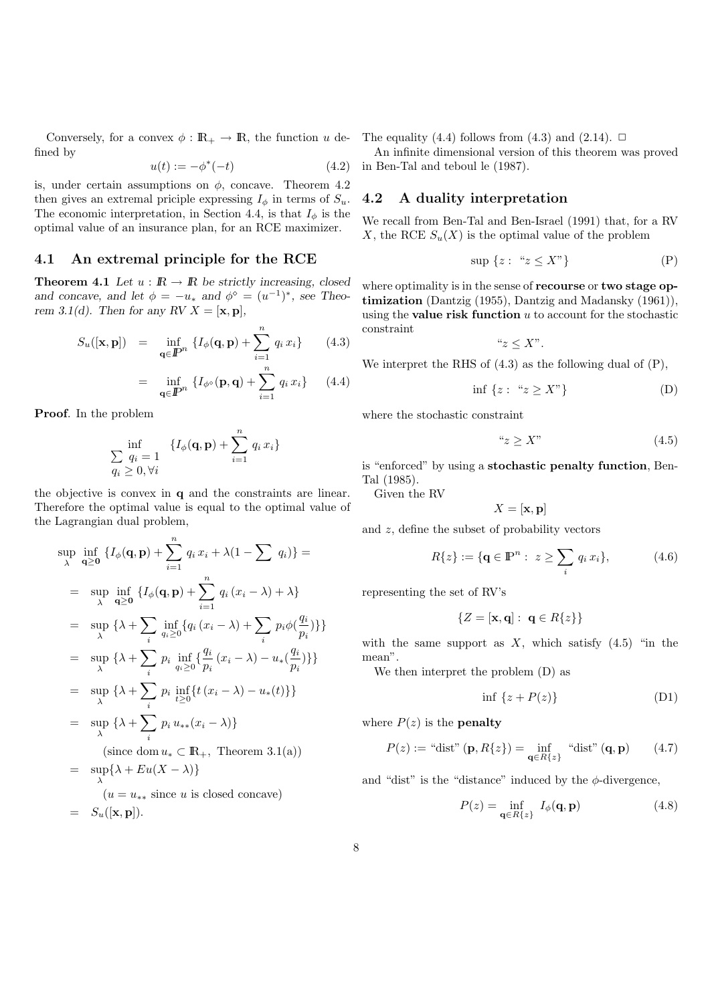Conversely, for a convex  $\phi : \mathbb{R}_+ \to \mathbb{R}$ , the function u defined by

$$
u(t) := -\phi^*(-t)
$$
 (4.2)

is, under certain assumptions on  $\phi$ , concave. Theorem 4.2 then gives an extremal priciple expressing  $I_{\phi}$  in terms of  $S_u$ . The economic interpretation, in Section 4.4, is that  $I_{\phi}$  is the optimal value of an insurance plan, for an RCE maximizer.

#### 4.1 An extremal principle for the RCE

**Theorem 4.1** Let  $u : \mathbb{R} \to \mathbb{R}$  be strictly increasing, closed and concave, and let  $\phi = -u_*$  and  $\phi^{\diamond} = (u^{-1})^*$ , see Theorem 3.1(d). Then for any RV  $X = [\mathbf{x}, \mathbf{p}]$ ,

$$
S_u([\mathbf{x}, \mathbf{p}]) = \inf_{\mathbf{q} \in \mathbb{P}^n} \{ I_{\phi}(\mathbf{q}, \mathbf{p}) + \sum_{i=1}^n q_i x_i \} \qquad (4.3)
$$

$$
= \inf_{\mathbf{q} \in \mathbb{P}^n} \{ I_{\phi^\diamond}(\mathbf{p}, \mathbf{q}) + \sum_{i=1}^n q_i x_i \} \qquad (4.4)
$$

Proof. In the problem

$$
\inf_{\begin{array}{c} Q_i = 1\\ q_i \geq 0, \forall i \end{array}} \{I_{\phi}(\mathbf{q}, \mathbf{p}) + \sum_{i=1}^n q_i x_i\}
$$

the objective is convex in q and the constraints are linear. Therefore the optimal value is equal to the optimal value of the Lagrangian dual problem,

$$
\sup_{\lambda} \inf_{\mathbf{q}\geq\mathbf{0}} \left\{ I_{\phi}(\mathbf{q}, \mathbf{p}) + \sum_{i=1}^{n} q_{i} x_{i} + \lambda (1 - \sum q_{i}) \right\} =
$$
\n
$$
= \sup_{\lambda} \inf_{\mathbf{q}\geq\mathbf{0}} \left\{ I_{\phi}(\mathbf{q}, \mathbf{p}) + \sum_{i=1}^{n} q_{i} (x_{i} - \lambda) + \lambda \right\}
$$
\n
$$
= \sup_{\lambda} \left\{ \lambda + \sum_{i} \inf_{q_{i}\geq 0} \left\{ q_{i} (x_{i} - \lambda) + \sum_{i} p_{i} \phi \left( \frac{q_{i}}{p_{i}} \right) \right\} \right\}
$$
\n
$$
= \sup_{\lambda} \left\{ \lambda + \sum_{i} p_{i} \inf_{q_{i}\geq 0} \left\{ \frac{q_{i}}{p_{i}} (x_{i} - \lambda) - u_{*} \left( \frac{q_{i}}{p_{i}} \right) \right\} \right\}
$$
\n
$$
= \sup_{\lambda} \left\{ \lambda + \sum_{i} p_{i} \inf_{t\geq 0} \left\{ t (x_{i} - \lambda) - u_{*}(t) \right\} \right\}
$$
\n
$$
= \sup_{\lambda} \left\{ \lambda + \sum_{i} p_{i} u_{**}(x_{i} - \lambda) \right\}
$$
\n(since dom  $u_{*} \subset \mathbb{R}_{+}$ , Theorem 3.1(a))\n
$$
= \sup_{\lambda} \left\{ \lambda + Eu(X - \lambda) \right\}
$$
\n
$$
(u = u_{**} \text{ since } u \text{ is closed concave})
$$
\n
$$
= S_{u}([x, p]).
$$

The equality (4.4) follows from (4.3) and (2.14).  $\Box$ 

An infinite dimensional version of this theorem was proved in Ben-Tal and teboul le (1987).

#### 4.2 A duality interpretation

We recall from Ben-Tal and Ben-Israel (1991) that, for a RV X, the RCE  $S_u(X)$  is the optimal value of the problem

$$
\sup \{ z : \text{``} z \le X\text{''} \} \tag{P}
$$

where optimality is in the sense of **recourse** or **two stage op**timization (Dantzig (1955), Dantzig and Madansky (1961)), using the **value risk function**  $u$  to account for the stochastic constraint

" $z \leq X$ ".

We interpret the RHS of (4.3) as the following dual of (P),

$$
\inf \{ z : \text{``} z \ge X \text{''} \} \tag{D}
$$

where the stochastic constraint

$$
"z \ge X" \tag{4.5}
$$

is "enforced" by using a stochastic penalty function, Ben-Tal (1985).

Given the RV

$$
X=[\mathbf{x},\mathbf{p}]
$$

and z, define the subset of probability vectors

$$
R\{z\} := \{ \mathbf{q} \in \mathbb{P}^n : z \ge \sum_i q_i x_i \},\tag{4.6}
$$

representing the set of RV's

$$
\{Z = [\mathbf{x}, \mathbf{q}] : \ \mathbf{q} \in R\{z\}\}
$$

with the same support as  $X$ , which satisfy  $(4.5)$  "in the mean".

We then interpret the problem (D) as

$$
\inf \{ z + P(z) \} \tag{D1}
$$

where  $P(z)$  is the **penalty** 

$$
P(z) := "dist" (\mathbf{p}, R\{z\}) = \inf_{\mathbf{q} \in R\{z\}} "dist" (\mathbf{q}, \mathbf{p}) \qquad (4.7)
$$

and "dist" is the "distance" induced by the  $\phi$ -divergence,

$$
P(z) = \inf_{\mathbf{q} \in R\{z\}} I_{\phi}(\mathbf{q}, \mathbf{p})
$$
 (4.8)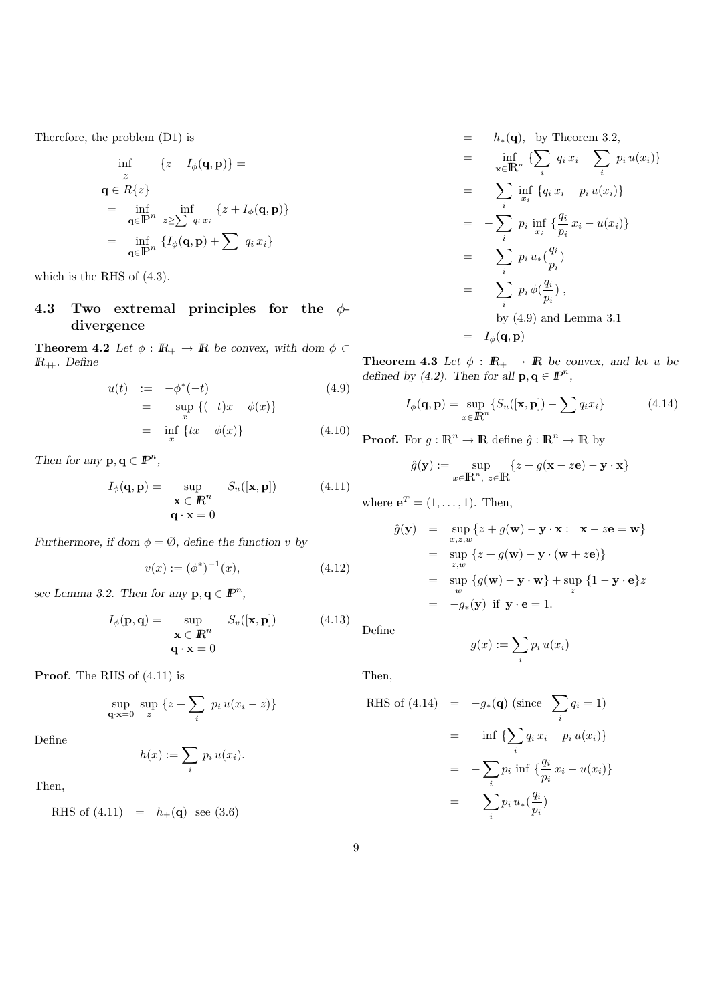Therefore, the problem (D1) is

$$
\inf_{z} \{z + I_{\phi}(\mathbf{q}, \mathbf{p})\} =
$$
  
\n
$$
\mathbf{q} \in R\{z\}
$$
  
\n
$$
= \inf_{\mathbf{q} \in \mathbb{P}^n} \inf_{z \ge \sum_{i} q_i x_i} \{z + I_{\phi}(\mathbf{q}, \mathbf{p})\}
$$
  
\n
$$
= \inf_{\mathbf{q} \in \mathbb{P}^n} \{I_{\phi}(\mathbf{q}, \mathbf{p}) + \sum_{i} q_i x_i\}
$$

which is the RHS of (4.3).

### 4.3 Two extremal principles for the  $\phi$ divergence

**Theorem 4.2** Let  $\phi : \mathbb{R}_+ \to \mathbb{R}$  be convex, with dom  $\phi \subset \mathbb{R}$  $\mathbb{R}_+$ . Define

$$
u(t) := -\phi^*(-t) \qquad (4.9)
$$
  
=  $-\sup_x \{(-t)x - \phi(x)\}$   
=  $\inf_x \{tx + \phi(x)\}$  (4.10)

Then for any  $\mathbf{p}, \mathbf{q} \in \mathbb{P}^n$ ,

$$
I_{\phi}(\mathbf{q}, \mathbf{p}) = \sup_{\mathbf{x} \in \mathbb{R}^n} S_u([\mathbf{x}, \mathbf{p}])
$$
 (4.11)  

$$
\mathbf{q} \cdot \mathbf{x} = 0
$$

Furthermore, if dom  $\phi = \emptyset$ , define the function v by

$$
v(x) := (\phi^*)^{-1}(x), \tag{4.12}
$$

see Lemma 3.2. Then for any  $\mathbf{p}, \mathbf{q} \in \mathbb{P}^n$ ,

$$
I_{\phi}(\mathbf{p}, \mathbf{q}) = \sup_{\mathbf{X} \in \mathbb{R}^n} S_v([\mathbf{x}, \mathbf{p}])
$$
 (4.13)  
\n
$$
\mathbf{q} \cdot \mathbf{x} = 0
$$

Proof. The RHS of  $(4.11)$  is

$$
\sup_{\mathbf{q}\cdot\mathbf{x}=0} \sup_{z} \left\{ z + \sum_{i} p_i u(x_i - z) \right\}
$$

Define

$$
h(x) := \sum_{i} p_i u(x_i).
$$

Then,

RHS of  $(4.11) = h_+(\mathbf{q})$  see  $(3.6)$ 

$$
= -h_*(\mathbf{q}), \text{ by Theorem 3.2},
$$
  
\n
$$
= -\inf_{\mathbf{x} \in \mathbb{R}^n} \left\{ \sum_i q_i x_i - \sum_i p_i u(x_i) \right\}
$$
  
\n
$$
= -\sum_i \inf_{x_i} \left\{ q_i x_i - p_i u(x_i) \right\}
$$
  
\n
$$
= -\sum_i p_i \inf_{x_i} \left\{ \frac{q_i}{p_i} x_i - u(x_i) \right\}
$$
  
\n
$$
= -\sum_i p_i u_*(\frac{q_i}{p_i})
$$
  
\n
$$
= -\sum_i p_i \phi(\frac{q_i}{p_i}),
$$
  
\nby (4.9) and Lemma 3.1  
\n
$$
I_{\phi}(\mathbf{q}, \mathbf{p})
$$

**Theorem 4.3** Let  $\phi : \mathbb{R}_+ \to \mathbb{R}$  be convex, and let u be defined by (4.2). Then for all  $\mathbf{p}, \mathbf{q} \in \mathbb{P}^n$ ,

$$
I_{\phi}(\mathbf{q}, \mathbf{p}) = \sup_{x \in \mathbb{R}^n} \{ S_u([\mathbf{x}, \mathbf{p}]) - \sum q_i x_i \}
$$
(4.14)

**Proof.** For  $g : \mathbb{R}^n \to \mathbb{R}$  define  $\hat{g} : \mathbb{R}^n \to \mathbb{R}$  by

$$
\hat{g}(\mathbf{y}) := \sup_{x \in \mathbb{R}^n, \ z \in \mathbb{R}} \{ z + g(\mathbf{x} - z\mathbf{e}) - \mathbf{y} \cdot \mathbf{x} \}
$$

where  $e^T = (1, \ldots, 1)$ . Then,

$$
\hat{g}(\mathbf{y}) = \sup_{x,z,w} \{z + g(\mathbf{w}) - \mathbf{y} \cdot \mathbf{x} : \mathbf{x} - z\mathbf{e} = \mathbf{w}\}\
$$
  
\n
$$
= \sup_{z,w} \{z + g(\mathbf{w}) - \mathbf{y} \cdot (\mathbf{w} + z\mathbf{e})\}\
$$
  
\n
$$
= \sup_{w} \{g(\mathbf{w}) - \mathbf{y} \cdot \mathbf{w}\} + \sup_{z} \{1 - \mathbf{y} \cdot \mathbf{e}\}z
$$
  
\n
$$
= -g_*(\mathbf{y}) \text{ if } \mathbf{y} \cdot \mathbf{e} = 1.
$$

Define

$$
g(x) := \sum_i p_i u(x_i)
$$

Then,

RHS of (4.14) = 
$$
-g_*(\mathbf{q})
$$
 (since  $\sum_i q_i = 1$ )  
\n=  $-\inf \{ \sum_i q_i x_i - p_i u(x_i) \}$   
\n=  $-\sum_i p_i \inf \{ \frac{q_i}{p_i} x_i - u(x_i) \}$   
\n=  $-\sum_i p_i u_*(\frac{q_i}{p_i})$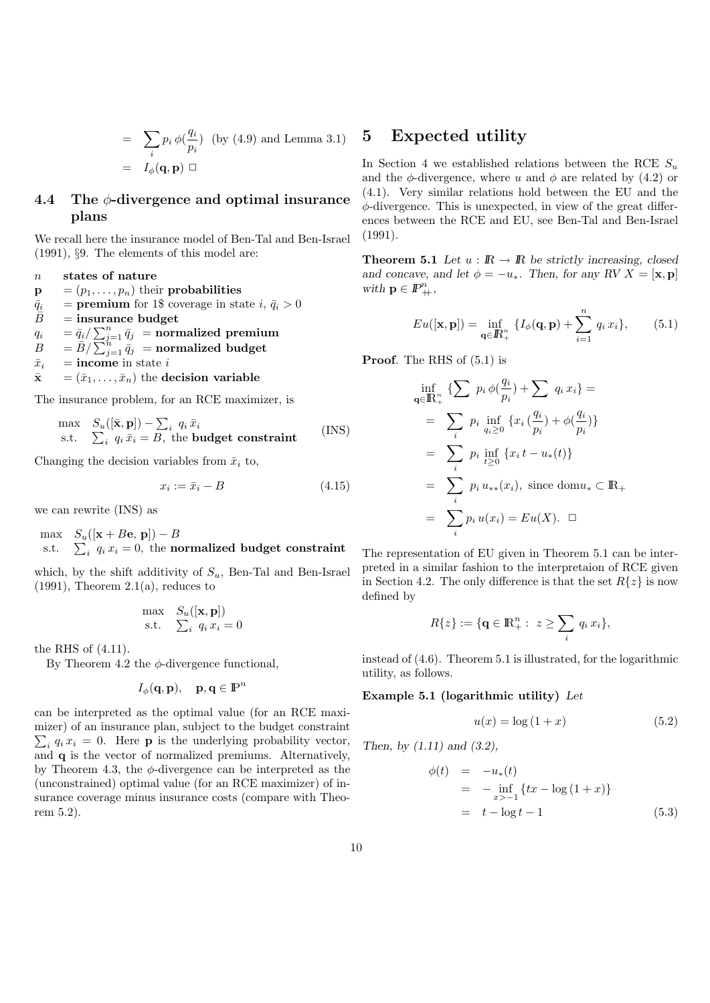$$
= \sum_{i} p_i \phi(\frac{q_i}{p_i}) \text{ (by (4.9) and Lemma 3.1)}
$$

$$
= I_{\phi}(\mathbf{q}, \mathbf{p}) \square
$$

### 4.4 The  $\phi$ -divergence and optimal insurance plans

We recall here the insurance model of Ben-Tal and Ben-Israel (1991), §9. The elements of this model are:

n states of nature

 $\mathbf{p} = (p_1, \ldots, p_n)$  their probabilities

- $\overline{q}_i$  = premium for 1\$ coverage in state  $i, \overline{q}_i > 0$ <br> $\overline{B}$  = insurance budget
- $=$  insurance budget

 $q_i$  =  $\bar{q}_i / \sum_{j=1}^n \bar{q}_j$  = normalized premium

- $\begin{array}{ll} B&=\bar B/\sum_{j=1}^h\bar q_j&={\rm \bf normalized\ budget} \end{array}$
- $\bar{x}_i$  = income in state i
- $\bar{\mathbf{x}} = (\bar{x}_1, \dots, \bar{x}_n)$  the decision variable

The insurance problem, for an RCE maximizer, is

$$
\begin{array}{ll}\n\text{max} & S_u([\bar{\mathbf{x}}, \mathbf{p}]) - \sum_i q_i \, \bar{x}_i \\
\text{s.t.} & \sum_i q_i \, \bar{x}_i = B, \text{ the budget constraint}\n\end{array} \tag{INS}
$$

Changing the decision variables from  $\bar{x}_i$  to,

$$
x_i := \bar{x}_i - B \tag{4.15}
$$

we can rewrite (INS) as

$$
\begin{array}{ll}\n\text{max} & S_u([\mathbf{x} + B\mathbf{e}, \, \mathbf{p}]) - B \\
\text{s.t.} & \sum_i \, q_i \, x_i = 0, \text{ the normalized budget constraint}\n\end{array}
$$

which, by the shift additivity of  $S_u$ , Ben-Tal and Ben-Israel  $(1991)$ , Theorem  $2.1(a)$ , reduces to

$$
\begin{array}{ll}\n\max & S_u([\mathbf{x}, \mathbf{p}]) \\
\text{s.t.} & \sum_i q_i x_i = 0\n\end{array}
$$

the RHS of (4.11).

By Theorem 4.2 the  $\phi$ -divergence functional,

$$
I_{\phi}(\mathbf{q}, \mathbf{p}), \quad \mathbf{p}, \mathbf{q} \in \mathbb{P}^n
$$

can be interpreted as the optimal value (for an RCE maximizer) of an insurance plan, subject to the budget constraint  $\sum_i q_i x_i = 0$ . Here **p** is the underlying probability vector, and q is the vector of normalized premiums. Alternatively, by Theorem 4.3, the  $\phi$ -divergence can be interpreted as the (unconstrained) optimal value (for an RCE maximizer) of insurance coverage minus insurance costs (compare with Theorem 5.2).

### 5 Expected utility

In Section 4 we established relations between the RCE  $S_u$ and the  $\phi$ -divergence, where u and  $\phi$  are related by (4.2) or (4.1). Very similar relations hold between the EU and the  $\phi$ -divergence. This is unexpected, in view of the great differences between the RCE and EU, see Ben-Tal and Ben-Israel (1991).

**Theorem 5.1** Let  $u : \mathbb{R} \to \mathbb{R}$  be strictly increasing, closed and concave, and let  $\phi = -u_*$ . Then, for any RV  $X = [\mathbf{x}, \mathbf{p}]$ with  $\mathbf{p} \in \mathbb{P}^n_+,$ 

$$
Eu([\mathbf{x}, \mathbf{p}]) = \inf_{\mathbf{q} \in \mathbb{R}_+^n} \{ I_{\phi}(\mathbf{q}, \mathbf{p}) + \sum_{i=1}^n q_i x_i \}, \qquad (5.1)
$$

Proof. The RHS of (5.1) is

$$
\inf_{\mathbf{q} \in \mathbb{R}_{+}^{n}} \{ \sum p_{i} \phi(\frac{q_{i}}{p_{i}}) + \sum q_{i} x_{i} \} =
$$
\n
$$
= \sum_{i} p_{i} \inf_{q_{i} \geq 0} \{ x_{i}(\frac{q_{i}}{p_{i}}) + \phi(\frac{q_{i}}{p_{i}}) \}
$$
\n
$$
= \sum_{i} p_{i} \inf_{t \geq 0} \{ x_{i} t - u_{*}(t) \}
$$
\n
$$
= \sum_{i} p_{i} u_{**}(x_{i}), \text{ since } \text{dom} u_{*} \subset \mathbb{R}_{+}
$$
\n
$$
= \sum_{i} p_{i} u(x_{i}) = Eu(X). \square
$$

The representation of EU given in Theorem 5.1 can be interpreted in a similar fashion to the interpretaion of RCE given in Section 4.2. The only difference is that the set  $R\{z\}$  is now defined by

$$
R\{z\}:=\{\mathbf{q}\in\mathbb{R}^n_+:\ z\geq\sum_i q_i\,x_i\},\
$$

instead of (4.6). Theorem 5.1 is illustrated, for the logarithmic utility, as follows.

#### Example 5.1 (logarithmic utility) Let

$$
u(x) = \log(1+x) \tag{5.2}
$$

Then, by  $(1.11)$  and  $(3.2)$ ,

$$
\begin{array}{rcl}\n\phi(t) & = & -u_*(t) \\
& = & -\inf_{x>-1} \{tx - \log\left(1+x\right)\} \\
& = & t - \log t - 1\n\end{array} \tag{5.3}
$$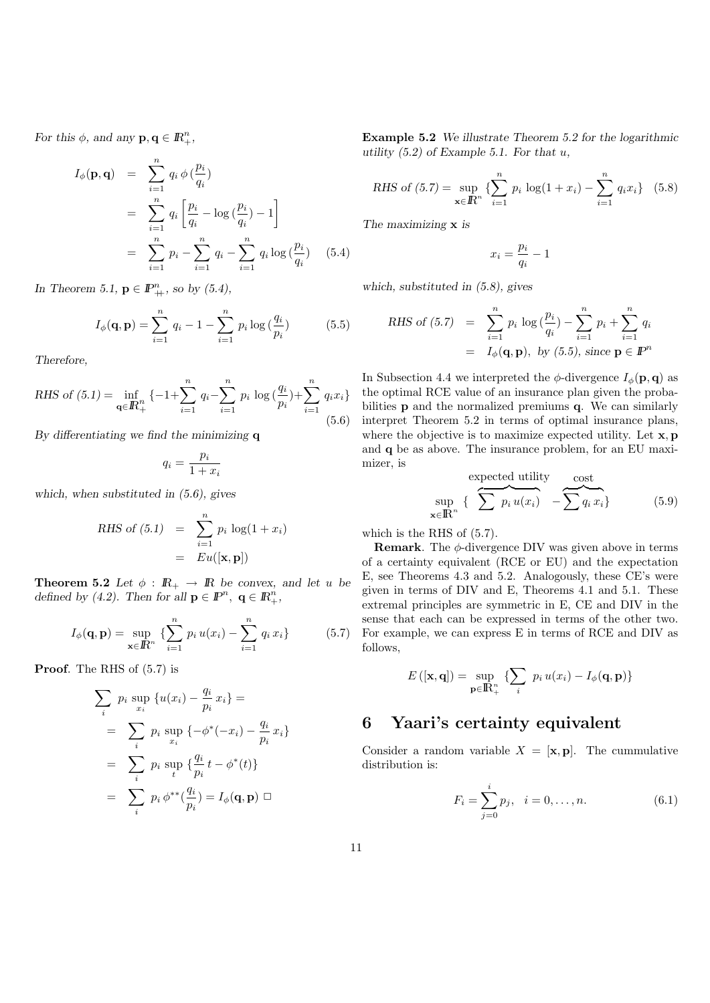For this  $\phi$ , and any  $\mathbf{p}, \mathbf{q} \in \mathbb{R}_+^n$ ,

$$
I_{\phi}(\mathbf{p}, \mathbf{q}) = \sum_{i=1}^{n} q_i \phi\left(\frac{p_i}{q_i}\right)
$$
  
= 
$$
\sum_{i=1}^{n} q_i \left[\frac{p_i}{q_i} - \log\left(\frac{p_i}{q_i}\right) - 1\right]
$$
  
= 
$$
\sum_{i=1}^{n} p_i - \sum_{i=1}^{n} q_i - \sum_{i=1}^{n} q_i \log\left(\frac{p_i}{q_i}\right) \quad (5.4)
$$

In Theorem 5.1,  $\mathbf{p} \in \mathbb{P}^n_+$ , so by (5.4),

$$
I_{\phi}(\mathbf{q}, \mathbf{p}) = \sum_{i=1}^{n} q_i - 1 - \sum_{i=1}^{n} p_i \log \left( \frac{q_i}{p_i} \right) \tag{5.5}
$$

Therefore,

RHS of (5.1) = 
$$
\inf_{\mathbf{q} \in \mathbb{R}_{+}^{n}} \{-1 + \sum_{i=1}^{n} q_{i} - \sum_{i=1}^{n} p_{i} \log \left(\frac{q_{i}}{p_{i}}\right) + \sum_{i=1}^{n} q_{i} x_{i}
$$
 (5.6)

By differentiating we find the minimizing  $q$ 

$$
q_i = \frac{p_i}{1 + x_i}
$$

which, when substituted in (5.6), gives

RHS of (5.1) = 
$$
\sum_{i=1}^{n} p_i \log(1 + x_i)
$$

$$
= Eu([\mathbf{x}, \mathbf{p}])
$$

**Theorem 5.2** Let  $\phi$  :  $\mathbb{R}_+ \to \mathbb{R}$  be convex, and let u be defined by (4.2). Then for all  $\mathbf{p} \in \mathbb{P}^n$ ,  $\mathbf{q} \in \mathbb{R}_+^n$ ,

$$
I_{\phi}(\mathbf{q}, \mathbf{p}) = \sup_{\mathbf{x} \in \mathbb{R}^n} \left\{ \sum_{i=1}^n p_i u(x_i) - \sum_{i=1}^n q_i x_i \right\} \tag{5.7}
$$

Proof. The RHS of  $(5.7)$  is

$$
\sum_{i} p_{i} \sup_{x_{i}} \{u(x_{i}) - \frac{q_{i}}{p_{i}} x_{i}\} =
$$
\n
$$
= \sum_{i} p_{i} \sup_{x_{i}} \{-\phi^{*}(-x_{i}) - \frac{q_{i}}{p_{i}} x_{i}\}
$$
\n
$$
= \sum_{i} p_{i} \sup_{t} \{\frac{q_{i}}{p_{i}} t - \phi^{*}(t)\}
$$
\n
$$
= \sum_{i} p_{i} \phi^{**}(\frac{q_{i}}{p_{i}}) = I_{\phi}(\mathbf{q}, \mathbf{p}) \square
$$

Example 5.2 We illustrate Theorem 5.2 for the logarithmic utility  $(5.2)$  of Example 5.1. For that u,

RHS of (5.7) = 
$$
\sup_{\mathbf{x} \in \mathbb{R}^n} \left\{ \sum_{i=1}^n p_i \log(1 + x_i) - \sum_{i=1}^n q_i x_i \right\}
$$
 (5.8)

The maximizing **x** is

$$
x_i = \frac{p_i}{q_i} - 1
$$

which, substituted in (5.8), gives

RHS of (5.7) = 
$$
\sum_{i=1}^{n} p_i \log(\frac{p_i}{q_i}) - \sum_{i=1}^{n} p_i + \sum_{i=1}^{n} q_i
$$
  
=  $I_{\phi}(\mathbf{q}, \mathbf{p}), \text{ by (5.5), since } \mathbf{p} \in \mathbb{I}^{pn}$ 

(5.6) interpret Theorem 5.2 in terms of optimal insurance plans, In Subsection 4.4 we interpreted the  $\phi$ -divergence  $I_{\phi}(\mathbf{p}, \mathbf{q})$  as the optimal RCE value of an insurance plan given the probabilities p and the normalized premiums q. We can similarly where the objective is to maximize expected utility. Let  $\mathbf{x}, \mathbf{p}$ and q be as above. The insurance problem, for an EU maximizer, is

expected utility 
$$
\sup_{\mathbf{x} \in \mathbb{R}^n} \left\{ \sum_{i} p_i u(x_i) - \sum_{i} q_i x_i \right\}
$$
 (5.9)

which is the RHS of (5.7).

**Remark.** The  $\phi$ -divergence DIV was given above in terms of a certainty equivalent (RCE or EU) and the expectation E, see Theorems 4.3 and 5.2. Analogously, these CE's were given in terms of DIV and E, Theorems 4.1 and 5.1. These extremal principles are symmetric in E, CE and DIV in the sense that each can be expressed in terms of the other two. For example, we can express E in terms of RCE and DIV as follows,

$$
E([\mathbf{x}, \mathbf{q}]) = \sup_{\mathbf{p} \in \mathbb{R}_{+}^{n}} \left\{ \sum_{i} p_{i} u(x_{i}) - I_{\phi}(\mathbf{q}, \mathbf{p}) \right\}
$$

### 6 Yaari's certainty equivalent

Consider a random variable  $X = [\mathbf{x}, \mathbf{p}]$ . The cummulative distribution is:

$$
F_i = \sum_{j=0}^{i} p_j, \quad i = 0, \dots, n.
$$
 (6.1)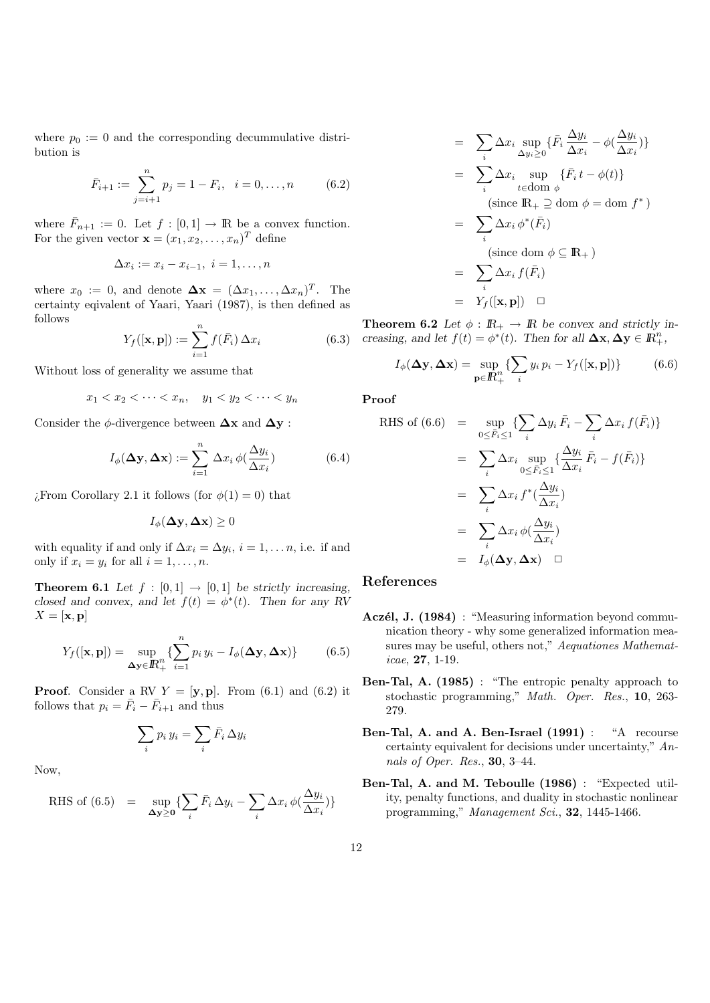where  $p_0 := 0$  and the corresponding decummulative distribution is

$$
\bar{F}_{i+1} := \sum_{j=i+1}^{n} p_j = 1 - F_i, \quad i = 0, \dots, n \tag{6.2}
$$

where  $\bar{F}_{n+1} := 0$ . Let  $f : [0,1] \to \mathbb{R}$  be a convex function. For the given vector  $\mathbf{x} = (x_1, x_2, \dots, x_n)^T$  define

$$
\Delta x_i := x_i - x_{i-1}, \ i = 1, \ldots, n
$$

where  $x_0 := 0$ , and denote  $\Delta \mathbf{x} = (\Delta x_1, \dots, \Delta x_n)^T$ . The certainty eqivalent of Yaari, Yaari (1987), is then defined as follows

$$
Y_f([\mathbf{x}, \mathbf{p}]) := \sum_{i=1}^n f(\bar{F}_i) \,\Delta x_i \tag{6.3}
$$

Without loss of generality we assume that

$$
x_1 < x_2 < \cdots < x_n, \quad y_1 < y_2 < \cdots < y_n
$$

Consider the  $\phi$ -divergence between  $\Delta x$  and  $\Delta y$ :

$$
I_{\phi}(\mathbf{\Delta y}, \mathbf{\Delta x}) := \sum_{i=1}^{n} \Delta x_{i} \phi(\frac{\Delta y_{i}}{\Delta x_{i}})
$$
(6.4)

 $\chi$ From Corollary 2.1 it follows (for  $\phi(1) = 0$ ) that

$$
I_{\phi}(\mathbf{\Delta y}, \mathbf{\Delta x}) \ge 0
$$

with equality if and only if  $\Delta x_i = \Delta y_i$ ,  $i = 1, \ldots n$ , i.e. if and only if  $x_i = y_i$  for all  $i = 1, \ldots, n$ .

**Theorem 6.1** Let  $f : [0,1] \rightarrow [0,1]$  be strictly increasing, closed and convex, and let  $f(t) = \phi^*(t)$ . Then for any RV  $X = [\mathbf{x}, \mathbf{p}]$ 

$$
Y_f([\mathbf{x}, \mathbf{p}]) = \sup_{\Delta \mathbf{y} \in \mathbb{R}_+^n} \left\{ \sum_{i=1}^n p_i y_i - I_\phi(\Delta \mathbf{y}, \Delta \mathbf{x}) \right\} \tag{6.5}
$$

**Proof.** Consider a RV  $Y = [\mathbf{y}, \mathbf{p}]$ . From (6.1) and (6.2) it follows that  $p_i = \bar{F}_i - \bar{F}_{i+1}$  and thus

$$
\sum_i p_i y_i = \sum_i \bar{F}_i \,\Delta y_i
$$

Now,

RHS of (6.5) = 
$$
\sup_{\Delta y \ge 0} \{ \sum_i \bar{F}_i \, \Delta y_i - \sum_i \Delta x_i \, \phi(\frac{\Delta y_i}{\Delta x_i}) \}
$$

$$
= \sum_{i} \Delta x_{i} \sup_{\Delta y_{i} \geq 0} \{ \bar{F}_{i} \frac{\Delta y_{i}}{\Delta x_{i}} - \phi(\frac{\Delta y_{i}}{\Delta x_{i}}) \}
$$
  
\n
$$
= \sum_{i} \Delta x_{i} \sup_{t \in \text{dom } \phi} \{ \bar{F}_{i} t - \phi(t) \}
$$
  
\n(since  $\mathbb{R}_{+} \supseteq \text{dom } \phi = \text{dom } f^{*}$ )  
\n
$$
= \sum_{i} \Delta x_{i} \phi^{*}(\bar{F}_{i})
$$
  
\n(since  $\text{dom } \phi \subseteq \mathbb{R}_{+}$ )  
\n
$$
= \sum_{i} \Delta x_{i} f(\bar{F}_{i})
$$
  
\n
$$
= Y_{f}([\mathbf{x}, \mathbf{p}]) \quad \Box
$$

**Theorem 6.2** Let  $\phi : \mathbb{R}_+ \to \mathbb{R}$  be convex and strictly increasing, and let  $f(t) = \phi^*(t)$ . Then for all  $\Delta x, \Delta y \in \mathbb{R}^n_+$ ,

$$
I_{\phi}(\mathbf{\Delta y}, \mathbf{\Delta x}) = \sup_{\mathbf{p} \in \mathbb{R}_+^n} \{ \sum_i y_i p_i - Y_f([\mathbf{x}, \mathbf{p}]) \}
$$
(6.6)

Proof

RHS of (6.6) = 
$$
\sup_{0 \le \overline{F}_i \le 1} \{ \sum_i \Delta y_i \overline{F}_i - \sum_i \Delta x_i f(\overline{F}_i) \}
$$
  
\n= 
$$
\sum_i \Delta x_i \sup_{0 \le \overline{F}_i \le 1} \{ \frac{\Delta y_i}{\Delta x_i} \overline{F}_i - f(\overline{F}_i) \}
$$
  
\n= 
$$
\sum_i \Delta x_i f^*(\frac{\Delta y_i}{\Delta x_i})
$$
  
\n= 
$$
\sum_i \Delta x_i \phi(\frac{\Delta y_i}{\Delta x_i})
$$
  
\n= 
$$
I_{\phi}(\Delta y, \Delta x) \square
$$

#### References

- Aczél, J. (1984) : "Measuring information beyond communication theory - why some generalized information measures may be useful, others not," Aequationes Mathematicae, 27, 1-19.
- Ben-Tal, A. (1985) : "The entropic penalty approach to stochastic programming," Math. Oper. Res., 10, 263- 279.
- Ben-Tal, A. and A. Ben-Israel (1991) : "A recourse certainty equivalent for decisions under uncertainty," Annals of Oper. Res., 30, 3–44.
- Ben-Tal, A. and M. Teboulle (1986) : "Expected utility, penalty functions, and duality in stochastic nonlinear programming," Management Sci., 32, 1445-1466.